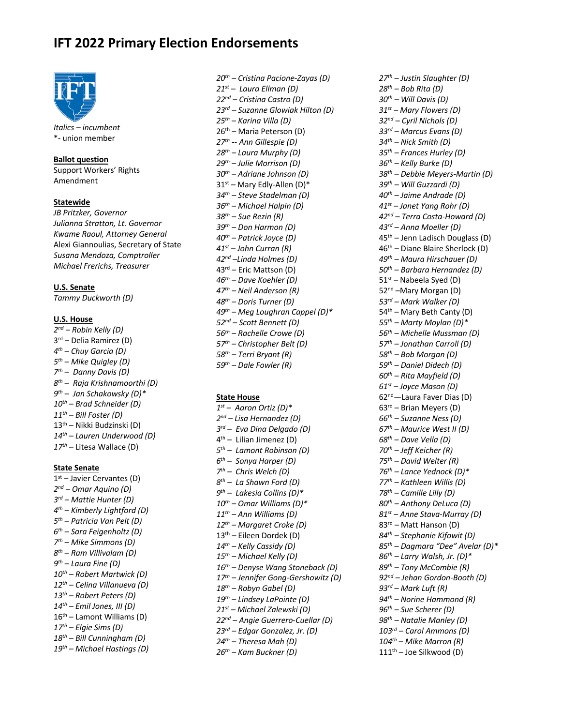# **IFT 2022 Primary Election Endorsements**



*Italics – incumbent* \*- union member

# **Ballot question**

Support Workers' Rights Amendment

# **Statewide**

*JB Pritzker, Governor Julianna Stratton, Lt. Governor Kwame Raoul, Attorney General* Alexi Giannoulias, Secretary of State *Susana Mendoza, Comptroller Michael Frerichs, Treasurer*

# **U.S. Senate**

*Tammy Duckworth (D)*

#### **U.S. House**

*2nd – Robin Kelly (D)* 3rd – Delia Ramirez (D) *4th – Chuy Garcia (D) 5th – Mike Quigley (D) 7th – Danny Davis (D) 8th – Raja Krishnamoorthi (D) 9th – Jan Schakowsky (D)\* 10th – Brad Schneider (D) 11th – Bill Foster (D)* 13th – Nikki Budzinski (D) *14th – Lauren Underwood (D) 17th –* Litesa Wallace (D)

#### **State Senate**

 $1<sup>st</sup>$  – Javier Cervantes (D) *2nd – Omar Aquino (D) 3rd – Mattie Hunter (D) 4th – Kimberly Lightford (D) 5th – Patricia Van Pelt (D) 6th – Sara Feigenholtz (D) 7th – Mike Simmons (D) 8th – Ram Villivalam (D) 9th – Laura Fine (D) 10th – Robert Martwick (D) 12th – Celina Villanueva (D) 13th – Robert Peters (D) 14th – Emil Jones, III (D)*  $16<sup>th</sup>$  – Lamont Williams (D) *17th – Elgie Sims (D) 18th – Bill Cunningham (D) 19th – Michael Hastings (D)*

*20th – Cristina Pacione-Zayas (D) 21st – Laura Ellman (D) 22nd – Cristina Castro (D) 23rd – Suzanne Glowiak Hilton (D) 25th* – *Karina Villa (D)* 26th – Maria Peterson (D) *27th -- Ann Gillespie (D) 28th – Laura Murphy (D) 29th – Julie Morrison (D) 30th – Adriane Johnson (D)* 31st *–* Mary Edly-Allen (D)\* *34th – Steve Stadelman (D) 36th – Michael Halpin (D) 38th – Sue Rezin (R) 39th – Don Harmon (D) 40th – Patrick Joyce (D) 41st – John Curran (R) 42nd –Linda Holmes (D)* 43rd – Eric Mattson (D) *46th – Dave Koehler (D) 47th – Neil Anderson (R) 48th – Doris Turner (D) 49th – Meg Loughran Cappel (D)\* 52nd – Scott Bennett (D) 56th – Rachelle Crowe (D) 57th – Christopher Belt (D) 58th – Terri Bryant (R) 59th – Dale Fowler (R)*

### **State House**

*1st – Aaron Ortiz (D)\* 2nd – Lisa Hernandez (D) 3rd – Eva Dina Delgado (D)* 4th *–* Lilian Jimenez (D) *5th – Lamont Robinson (D) 6th – Sonya Harper (D) 7th – Chris Welch (D) 8th – La Shawn Ford (D) 9th – Lakesia Collins (D)\* 10th – Omar Williams (D)\* 11th – Ann Williams (D) 12th – Margaret Croke (D)* 13th *–* Eileen Dordek (D) *14th – Kelly Cassidy (D) 15th – Michael Kelly (D) 16th – Denyse Wang Stoneback (D) 17th – Jennifer Gong-Gershowitz (D) 18th – Robyn Gabel (D) 19th – Lindsey LaPointe (D) 21st – Michael Zalewski (D) 22nd – Angie Guerrero-Cuellar (D) 23rd – Edgar Gonzalez, Jr. (D) 24th – Theresa Mah (D) 26th – Kam Buckner (D)*

*27th – Justin Slaughter (D) 28th – Bob Rita (D) 30th – Will Davis (D) 31st – Mary Flowers (D) 32nd – Cyril Nichols (D) 33rd – Marcus Evans (D) 34th – Nick Smith (D) 35th – Frances Hurley (D) 36th – Kelly Burke (D) 38th – Debbie Meyers-Martin (D) 39th – Will Guzzardi (D) 40th – Jaime Andrade (D) 41st – Janet Yang Rohr (D) 42nd* – *Terra Costa-Howard (D) 43rd – Anna Moeller (D)* 45th *–* Jenn Ladisch Douglass (D) 46th *–* Diane Blaire Sherlock (D) *49th – Maura Hirschauer (D) 50th* – *Barbara Hernandez (D)* 51st *–* Nabeela Syed (D) 52<sup>nd</sup> –Mary Morgan (D) *53rd – Mark Walker (D)* 54<sup>th</sup> – Mary Beth Canty (D) *55th – Marty Moylan (D)\* 56th – Michelle Mussman (D) 57th – Jonathan Carroll (D) 58th – Bob Morgan (D) 59th – Daniel Didech (D) 60th – Rita Mayfield (D) 61st – Joyce Mason (D)* 62nd*—*Laura Faver Dias (D) 63rd – Brian Meyers (D) *66th – Suzanne Ness (D) 67th – Maurice West II (D) 68th* – *Dave Vella (D) 70th – Jeff Keicher (R) 75th – David Welter (R) 76th – Lance Yednock (D)\* 77th – Kathleen Willis (D) 78th – Camille Lilly (D) 80th – Anthony DeLuca (D) 81st – Anne Stava-Murray (D)* 83rd *–* Matt Hanson (D) *84th – Stephanie Kifowit (D) 85th* – *Dagmara "Dee" Avelar (D)\* 86th – Larry Walsh, Jr. (D)\* 89th – Tony McCombie (R) 92nd – Jehan Gordon-Booth (D) 93rd* – *Mark Luft (R) 94th* – *Norine Hammond (R) 96th – Sue Scherer (D) 98th – Natalie Manley (D) 103rd – Carol Ammons (D) 104th* – *Mike Marron (R)* 111th – Joe Silkwood (D)